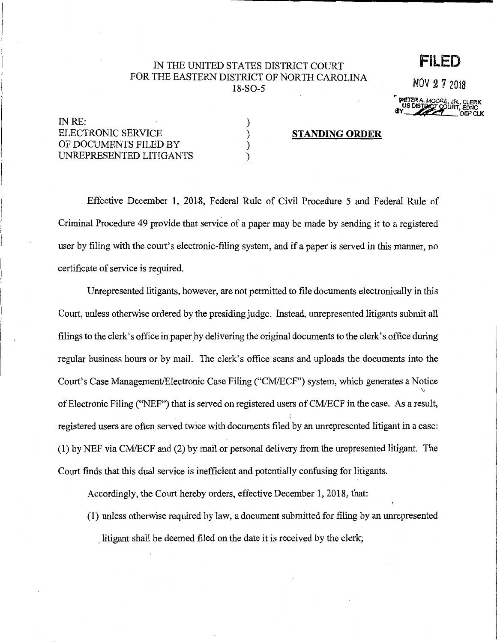## IN THE UNITED STATES DISTRICT COURT FOR THE EASTERN DISTRICT OF NORTH CAROLINA 18-S0-5

NOV 2 7 2018

**PETERA. MOORE, JR., CLERK** US DISTURST COURT, EDNC BY BUSING COURT, EDNC

**FILED** 

INRE: ELECTRONIC SERVICE OF DOCUMENTS FILED BY UNREPRESENTED LITIGANTS ) ) ) )

## **STANDING ORDER**

Effective December 1, 2018, Federal Rule of Civil Procedure 5 and Federal Rule of Criminal Procedure 49 provide that service of a paper may be made by sending it to a registered user by filing with the court's electronic-filing system, and if a paper is served in this manner, no certificate of service is reguired.

Unrepresented litigants, however, are not permitted to file documents electronically in this Court, unless otherwise ordered by the presiding judge. Instead, unrepresented litigants submit all filings to the clerk's office in paper by delivering the original documents to the clerk's office during regular business hours or by mail. The clerk's office scans and uploads the documents into the Court's Case Management/Electronic Case Filing ("CM/ECF") system, which generates a Notice \; of Electronic Filing ("NEF") that is served on registered users of CM/ECF in the case. As a result, ( registered users are often served twice with documents filed by an unrepresented litigant in a case: (1) by NEF via CM/ECF and (2) by mail or personal delivery from the urepresented litigant. The Court finds that this dual service is inefficient and potentially confusing for litigants.

Accordingly, the Court hereby orders, effective December 1, 2018, that:

(1) unless otherwise required by law, a document submitted for filing by an unrepresented litigant shall be deemed filed on the date it is received by the clerk;